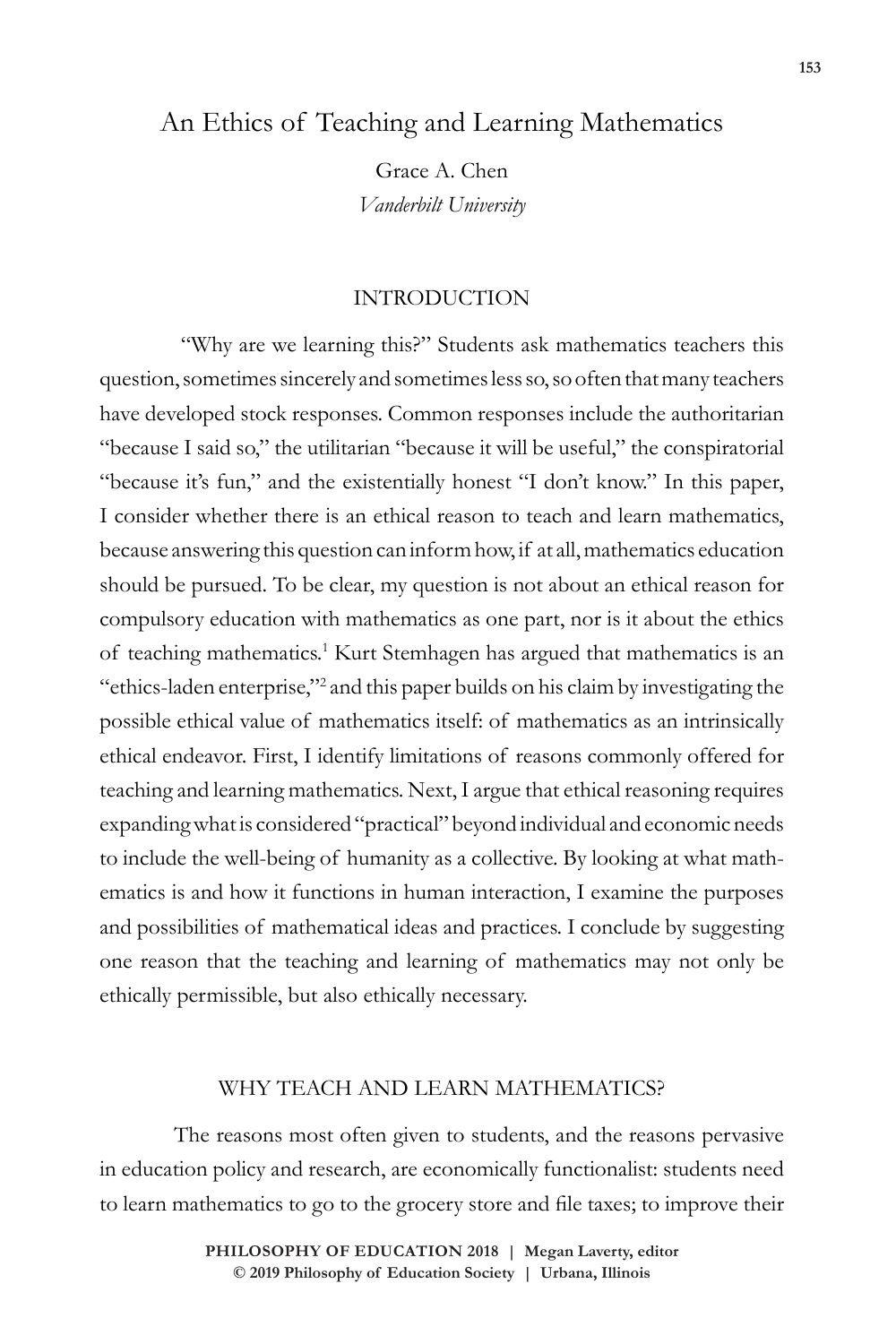# An Ethics of Teaching and Learning Mathematics

Grace A. Chen *Vanderbilt University*

## INTRODUCTION

 "Why are we learning this?" Students ask mathematics teachers this question, sometimes sincerely and sometimes less so, so often that many teachers have developed stock responses. Common responses include the authoritarian "because I said so," the utilitarian "because it will be useful," the conspiratorial "because it's fun," and the existentially honest "I don't know." In this paper, I consider whether there is an ethical reason to teach and learn mathematics, because answering this question can inform how, if at all, mathematics education should be pursued. To be clear, my question is not about an ethical reason for compulsory education with mathematics as one part, nor is it about the ethics of teaching mathematics.<sup>1</sup> Kurt Stemhagen has argued that mathematics is an "ethics-laden enterprise,"2 and this paper builds on his claim by investigating the possible ethical value of mathematics itself: of mathematics as an intrinsically ethical endeavor. First, I identify limitations of reasons commonly offered for teaching and learning mathematics. Next, I argue that ethical reasoning requires expanding what is considered "practical" beyond individual and economic needs to include the well-being of humanity as a collective. By looking at what mathematics is and how it functions in human interaction, I examine the purposes and possibilities of mathematical ideas and practices. I conclude by suggesting one reason that the teaching and learning of mathematics may not only be ethically permissible, but also ethically necessary.

## WHY TEACH AND LEARN MATHEMATICS?

The reasons most often given to students, and the reasons pervasive in education policy and research, are economically functionalist: students need to learn mathematics to go to the grocery store and file taxes; to improve their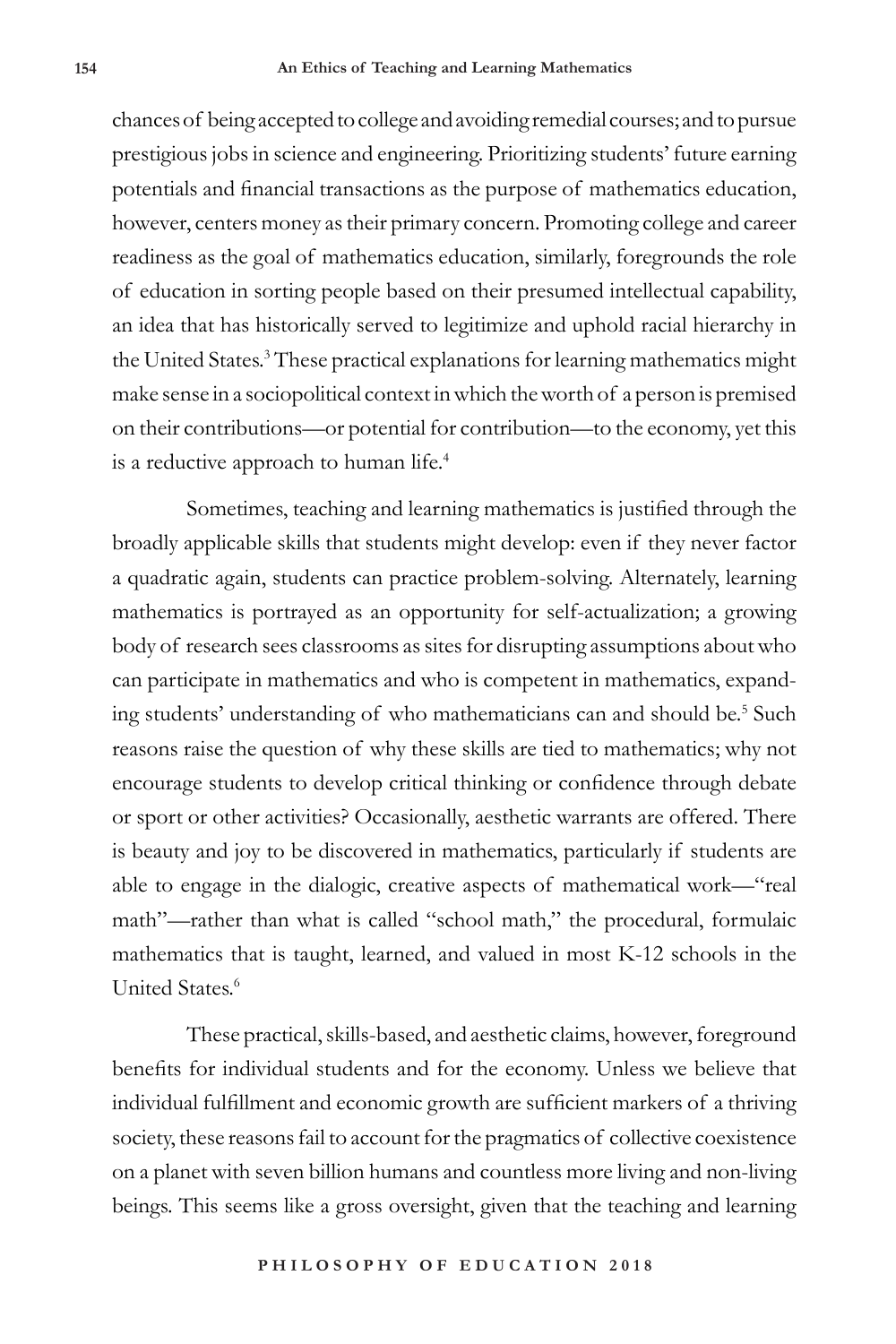chances of being accepted to college and avoiding remedial courses; and to pursue prestigious jobs in science and engineering. Prioritizing students' future earning potentials and financial transactions as the purpose of mathematics education, however, centers money as their primary concern. Promoting college and career readiness as the goal of mathematics education, similarly, foregrounds the role of education in sorting people based on their presumed intellectual capability, an idea that has historically served to legitimize and uphold racial hierarchy in the United States.<sup>3</sup> These practical explanations for learning mathematics might make sense in a sociopolitical context in which the worth of a person is premised on their contributions—or potential for contribution—to the economy, yet this is a reductive approach to human life.<sup>4</sup>

Sometimes, teaching and learning mathematics is justified through the broadly applicable skills that students might develop: even if they never factor a quadratic again, students can practice problem-solving. Alternately, learning mathematics is portrayed as an opportunity for self-actualization; a growing body of research sees classrooms as sites for disrupting assumptions about who can participate in mathematics and who is competent in mathematics, expanding students' understanding of who mathematicians can and should be.<sup>5</sup> Such reasons raise the question of why these skills are tied to mathematics; why not encourage students to develop critical thinking or confidence through debate or sport or other activities? Occasionally, aesthetic warrants are offered. There is beauty and joy to be discovered in mathematics, particularly if students are able to engage in the dialogic, creative aspects of mathematical work—"real math"—rather than what is called "school math," the procedural, formulaic mathematics that is taught, learned, and valued in most K-12 schools in the United States.<sup>6</sup>

These practical, skills-based, and aesthetic claims, however, foreground benefits for individual students and for the economy. Unless we believe that individual fulfillment and economic growth are sufficient markers of a thriving society, these reasons fail to account for the pragmatics of collective coexistence on a planet with seven billion humans and countless more living and non-living beings. This seems like a gross oversight, given that the teaching and learning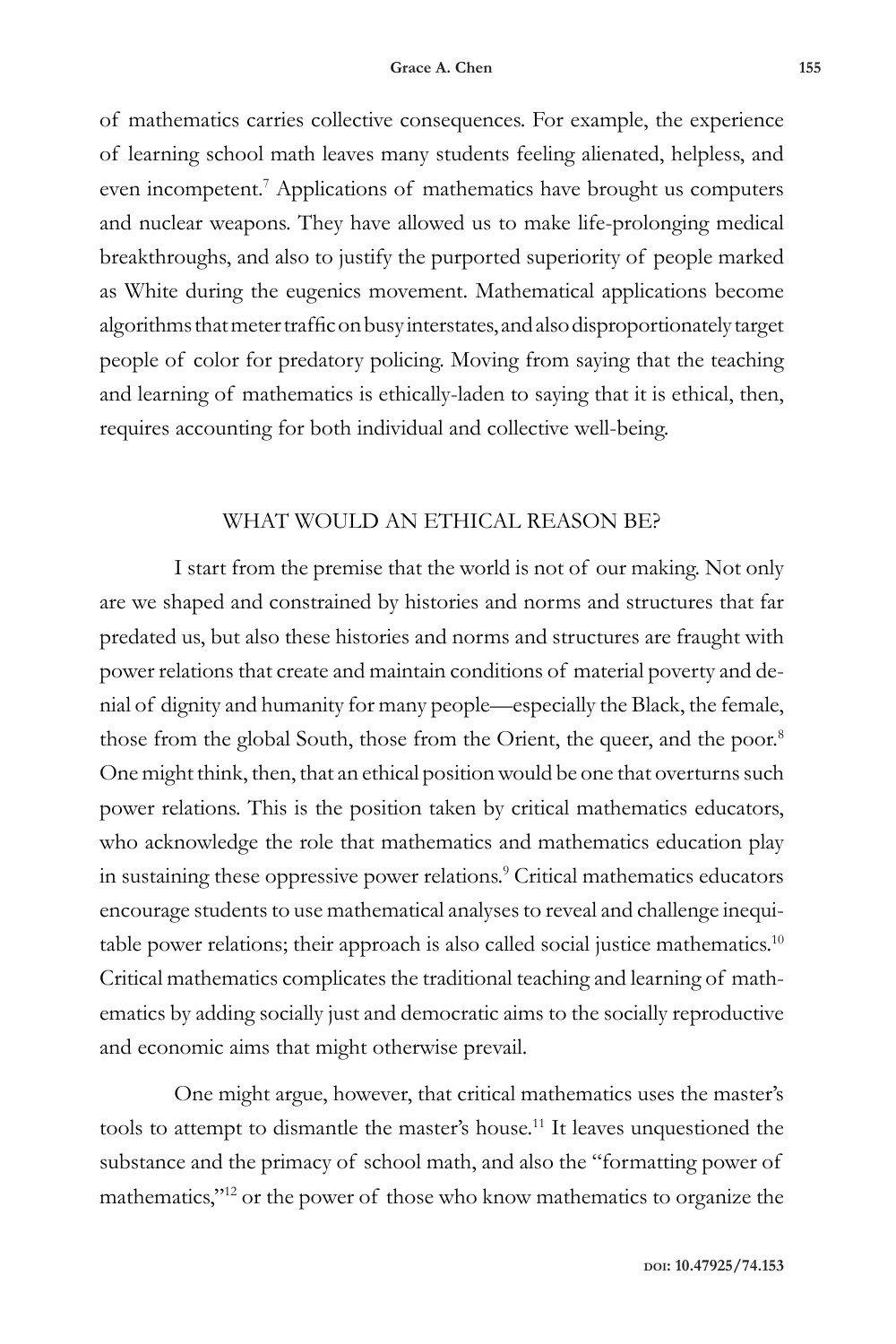of mathematics carries collective consequences. For example, the experience of learning school math leaves many students feeling alienated, helpless, and even incompetent.<sup>7</sup> Applications of mathematics have brought us computers and nuclear weapons. They have allowed us to make life-prolonging medical breakthroughs, and also to justify the purported superiority of people marked as White during the eugenics movement. Mathematical applications become algorithms that meter traffic on busy interstates, and also disproportionately target people of color for predatory policing. Moving from saying that the teaching and learning of mathematics is ethically-laden to saying that it is ethical, then, requires accounting for both individual and collective well-being.

## WHAT WOULD AN ETHICAL REASON BE?

I start from the premise that the world is not of our making. Not only are we shaped and constrained by histories and norms and structures that far predated us, but also these histories and norms and structures are fraught with power relations that create and maintain conditions of material poverty and denial of dignity and humanity for many people—especially the Black, the female, those from the global South, those from the Orient, the queer, and the poor.<sup>8</sup> One might think, then, that an ethical position would be one that overturns such power relations. This is the position taken by critical mathematics educators, who acknowledge the role that mathematics and mathematics education play in sustaining these oppressive power relations.<sup>9</sup> Critical mathematics educators encourage students to use mathematical analyses to reveal and challenge inequitable power relations; their approach is also called social justice mathematics.<sup>10</sup> Critical mathematics complicates the traditional teaching and learning of mathematics by adding socially just and democratic aims to the socially reproductive and economic aims that might otherwise prevail.

One might argue, however, that critical mathematics uses the master's tools to attempt to dismantle the master's house.<sup>11</sup> It leaves unquestioned the substance and the primacy of school math, and also the "formatting power of mathematics,"12 or the power of those who know mathematics to organize the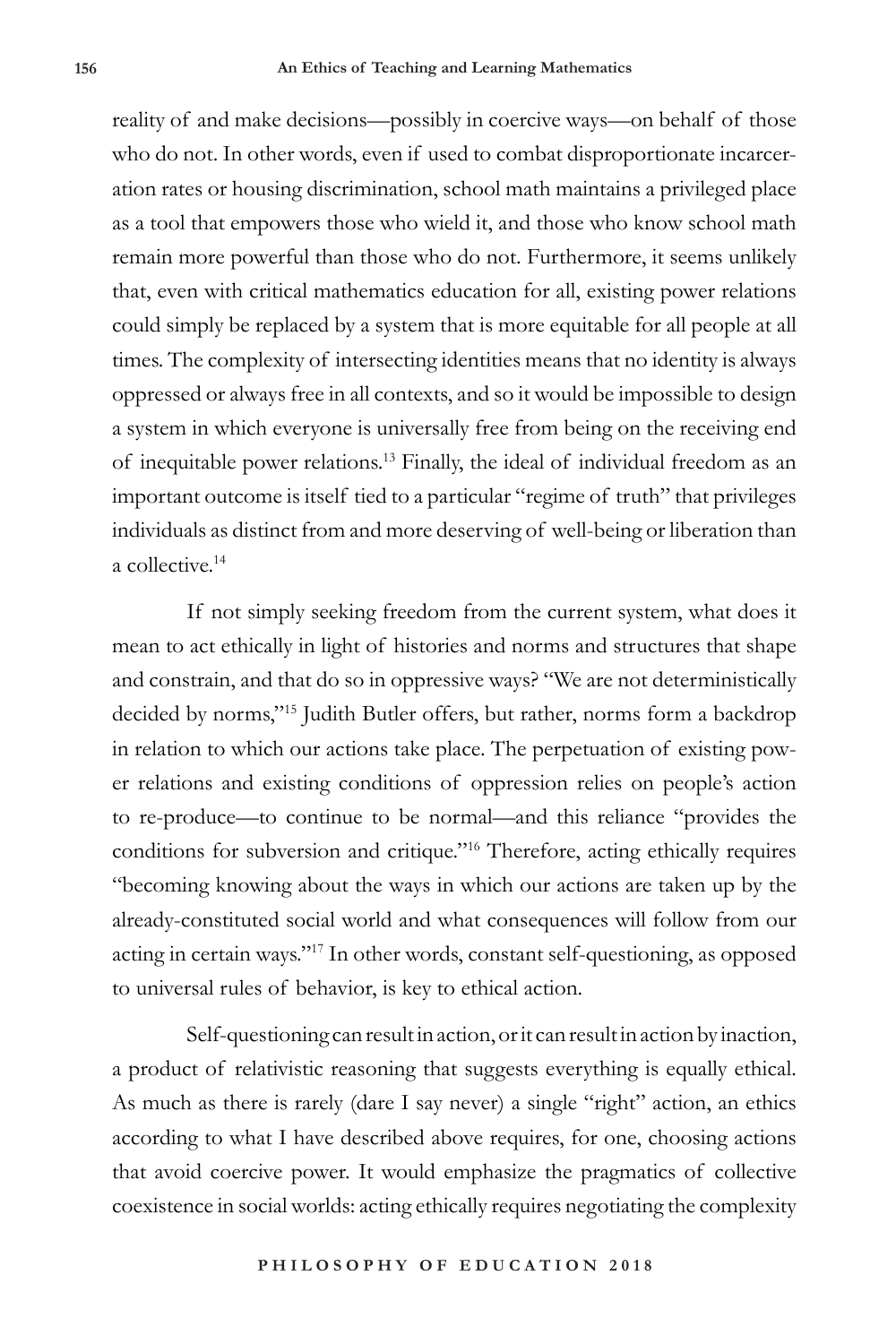reality of and make decisions—possibly in coercive ways—on behalf of those who do not. In other words, even if used to combat disproportionate incarceration rates or housing discrimination, school math maintains a privileged place as a tool that empowers those who wield it, and those who know school math remain more powerful than those who do not. Furthermore, it seems unlikely that, even with critical mathematics education for all, existing power relations could simply be replaced by a system that is more equitable for all people at all times. The complexity of intersecting identities means that no identity is always oppressed or always free in all contexts, and so it would be impossible to design a system in which everyone is universally free from being on the receiving end of inequitable power relations.13 Finally, the ideal of individual freedom as an important outcome is itself tied to a particular "regime of truth" that privileges individuals as distinct from and more deserving of well-being or liberation than a collective.<sup>14</sup>

If not simply seeking freedom from the current system, what does it mean to act ethically in light of histories and norms and structures that shape and constrain, and that do so in oppressive ways? "We are not deterministically decided by norms,"15 Judith Butler offers, but rather, norms form a backdrop in relation to which our actions take place. The perpetuation of existing power relations and existing conditions of oppression relies on people's action to re-produce—to continue to be normal—and this reliance "provides the conditions for subversion and critique."16 Therefore, acting ethically requires "becoming knowing about the ways in which our actions are taken up by the already-constituted social world and what consequences will follow from our acting in certain ways."17 In other words, constant self-questioning, as opposed to universal rules of behavior, is key to ethical action.

Self-questioning can result in action, or it can result in action by inaction, a product of relativistic reasoning that suggests everything is equally ethical. As much as there is rarely (dare I say never) a single "right" action, an ethics according to what I have described above requires, for one, choosing actions that avoid coercive power. It would emphasize the pragmatics of collective coexistence in social worlds: acting ethically requires negotiating the complexity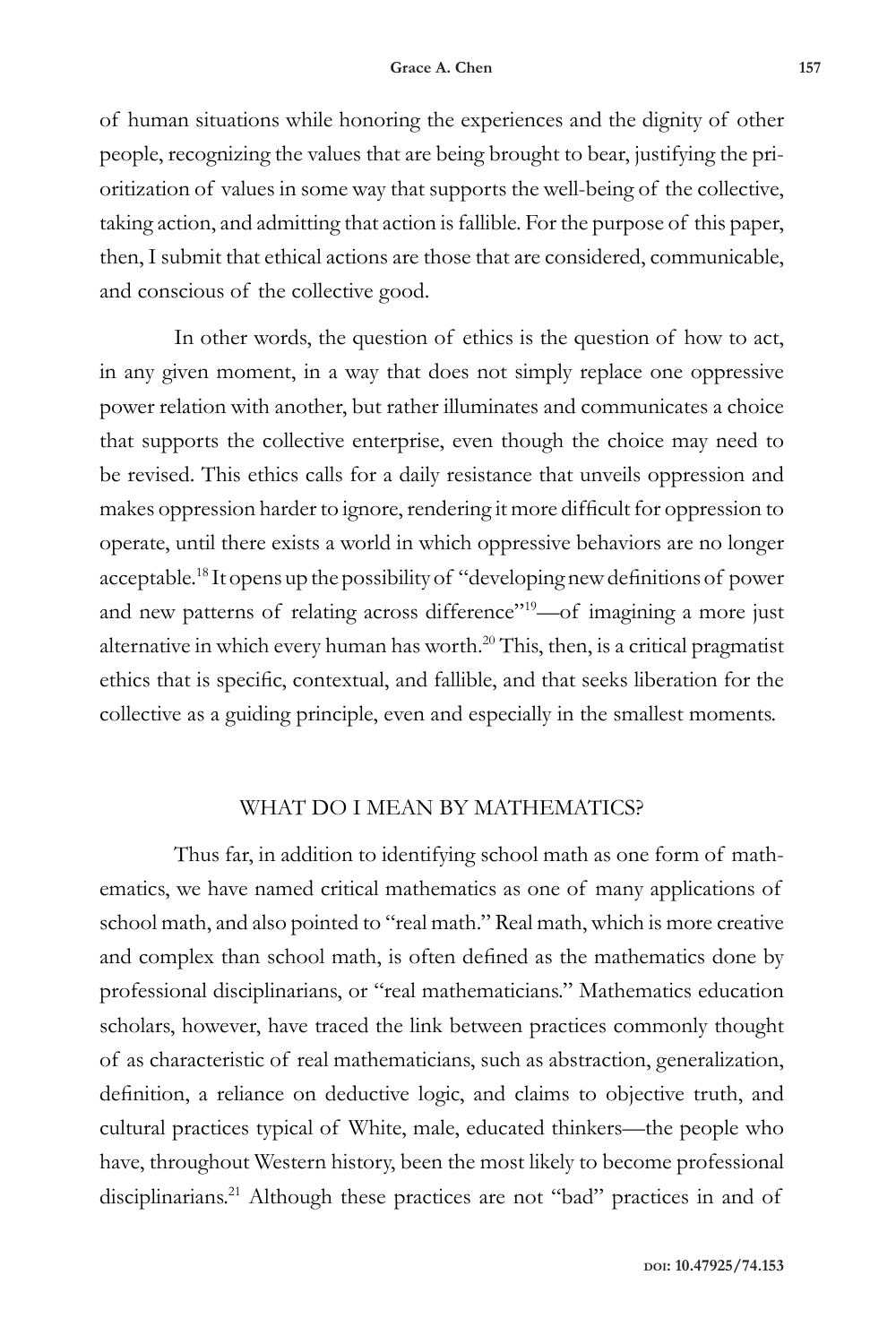of human situations while honoring the experiences and the dignity of other people, recognizing the values that are being brought to bear, justifying the prioritization of values in some way that supports the well-being of the collective, taking action, and admitting that action is fallible. For the purpose of this paper, then, I submit that ethical actions are those that are considered, communicable, and conscious of the collective good.

In other words, the question of ethics is the question of how to act, in any given moment, in a way that does not simply replace one oppressive power relation with another, but rather illuminates and communicates a choice that supports the collective enterprise, even though the choice may need to be revised. This ethics calls for a daily resistance that unveils oppression and makes oppression harder to ignore, rendering it more difficult for oppression to operate, until there exists a world in which oppressive behaviors are no longer acceptable.18 It opens up the possibility of "developing new definitions of power and new patterns of relating across difference"<sup>19</sup>-of imagining a more just alternative in which every human has worth.<sup>20</sup> This, then, is a critical pragmatist ethics that is specific, contextual, and fallible, and that seeks liberation for the collective as a guiding principle, even and especially in the smallest moments.

#### WHAT DO I MEAN BY MATHEMATICS?

Thus far, in addition to identifying school math as one form of mathematics, we have named critical mathematics as one of many applications of school math, and also pointed to "real math." Real math, which is more creative and complex than school math, is often defined as the mathematics done by professional disciplinarians, or "real mathematicians." Mathematics education scholars, however, have traced the link between practices commonly thought of as characteristic of real mathematicians, such as abstraction, generalization, definition, a reliance on deductive logic, and claims to objective truth, and cultural practices typical of White, male, educated thinkers—the people who have, throughout Western history, been the most likely to become professional disciplinarians.<sup>21</sup> Although these practices are not "bad" practices in and of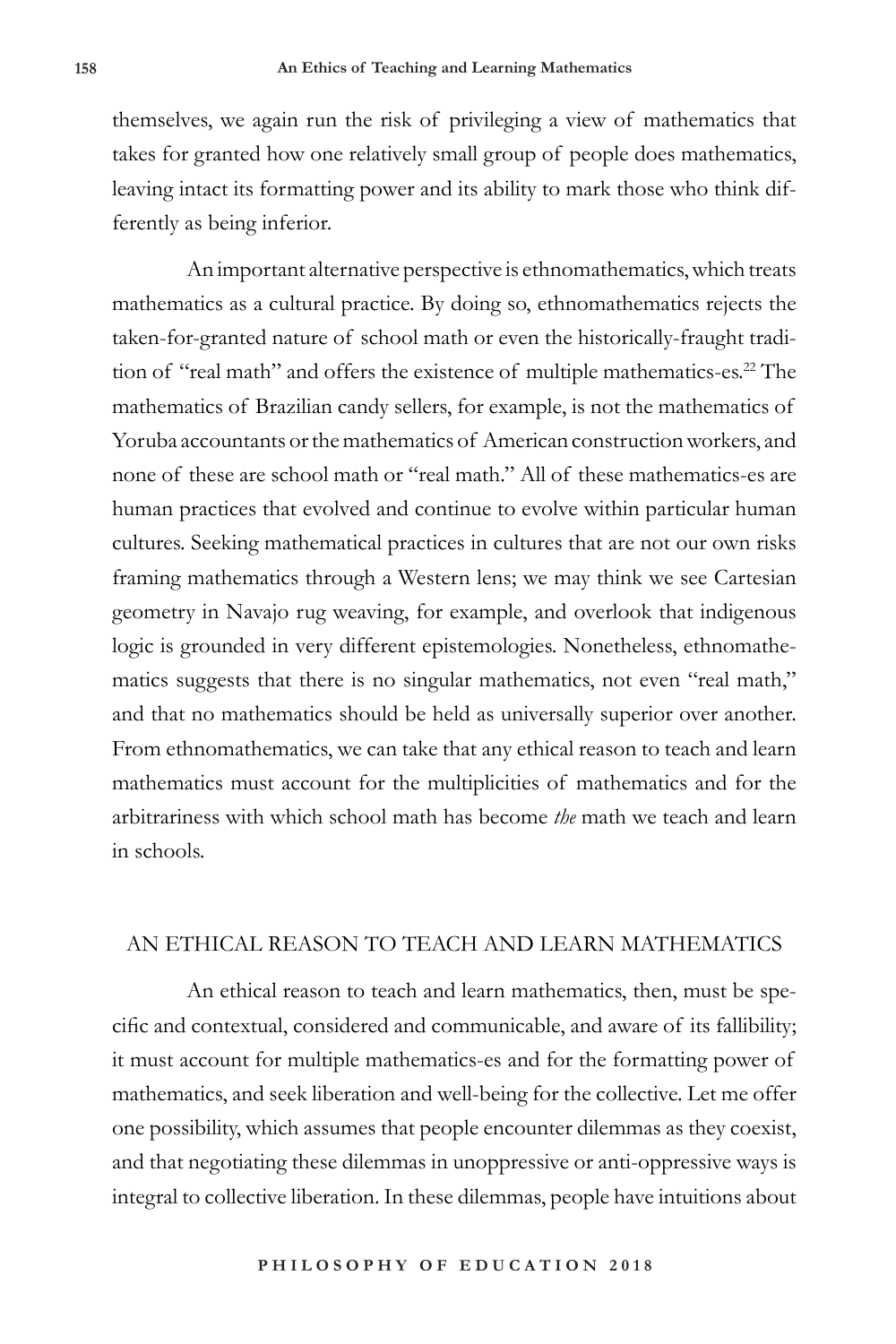themselves, we again run the risk of privileging a view of mathematics that takes for granted how one relatively small group of people does mathematics, leaving intact its formatting power and its ability to mark those who think differently as being inferior.

An important alternative perspective is ethnomathematics, which treats mathematics as a cultural practice. By doing so, ethnomathematics rejects the taken-for-granted nature of school math or even the historically-fraught tradition of "real math" and offers the existence of multiple mathematics-es.<sup>22</sup> The mathematics of Brazilian candy sellers, for example, is not the mathematics of Yoruba accountants or the mathematics of American construction workers, and none of these are school math or "real math." All of these mathematics-es are human practices that evolved and continue to evolve within particular human cultures. Seeking mathematical practices in cultures that are not our own risks framing mathematics through a Western lens; we may think we see Cartesian geometry in Navajo rug weaving, for example, and overlook that indigenous logic is grounded in very different epistemologies. Nonetheless, ethnomathematics suggests that there is no singular mathematics, not even "real math," and that no mathematics should be held as universally superior over another. From ethnomathematics, we can take that any ethical reason to teach and learn mathematics must account for the multiplicities of mathematics and for the arbitrariness with which school math has become *the* math we teach and learn in schools.

## AN ETHICAL REASON TO TEACH AND LEARN MATHEMATICS

An ethical reason to teach and learn mathematics, then, must be specific and contextual, considered and communicable, and aware of its fallibility; it must account for multiple mathematics-es and for the formatting power of mathematics, and seek liberation and well-being for the collective. Let me offer one possibility, which assumes that people encounter dilemmas as they coexist, and that negotiating these dilemmas in unoppressive or anti-oppressive ways is integral to collective liberation. In these dilemmas, people have intuitions about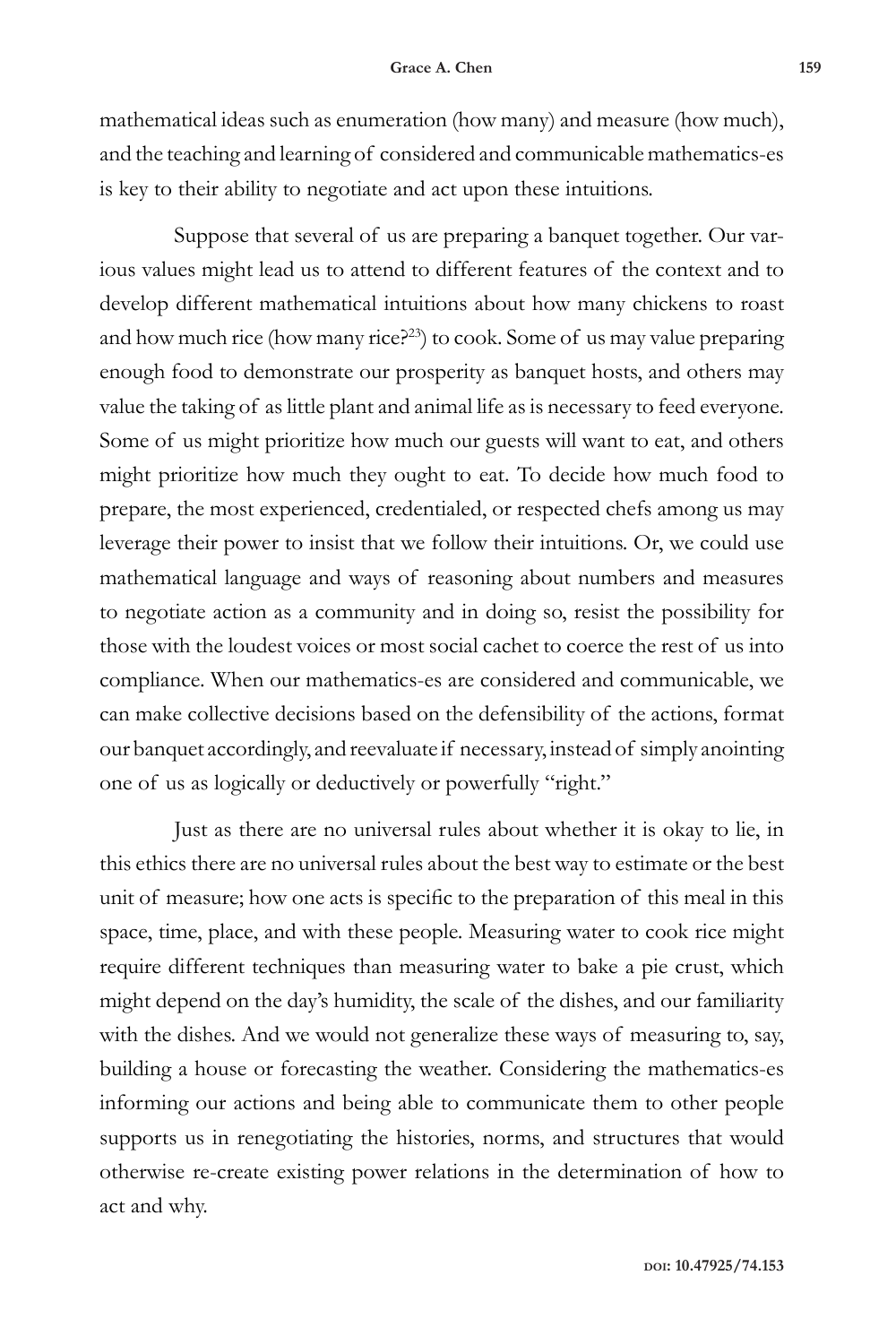mathematical ideas such as enumeration (how many) and measure (how much), and the teaching and learning of considered and communicable mathematics-es is key to their ability to negotiate and act upon these intuitions.

Suppose that several of us are preparing a banquet together. Our various values might lead us to attend to different features of the context and to develop different mathematical intuitions about how many chickens to roast and how much rice (how many rice?<sup>23</sup>) to cook. Some of us may value preparing enough food to demonstrate our prosperity as banquet hosts, and others may value the taking of as little plant and animal life as is necessary to feed everyone. Some of us might prioritize how much our guests will want to eat, and others might prioritize how much they ought to eat. To decide how much food to prepare, the most experienced, credentialed, or respected chefs among us may leverage their power to insist that we follow their intuitions. Or, we could use mathematical language and ways of reasoning about numbers and measures to negotiate action as a community and in doing so, resist the possibility for those with the loudest voices or most social cachet to coerce the rest of us into compliance. When our mathematics-es are considered and communicable, we can make collective decisions based on the defensibility of the actions, format our banquet accordingly, and reevaluate if necessary, instead of simply anointing one of us as logically or deductively or powerfully "right."

Just as there are no universal rules about whether it is okay to lie, in this ethics there are no universal rules about the best way to estimate or the best unit of measure; how one acts is specific to the preparation of this meal in this space, time, place, and with these people. Measuring water to cook rice might require different techniques than measuring water to bake a pie crust, which might depend on the day's humidity, the scale of the dishes, and our familiarity with the dishes. And we would not generalize these ways of measuring to, say, building a house or forecasting the weather. Considering the mathematics-es informing our actions and being able to communicate them to other people supports us in renegotiating the histories, norms, and structures that would otherwise re-create existing power relations in the determination of how to act and why.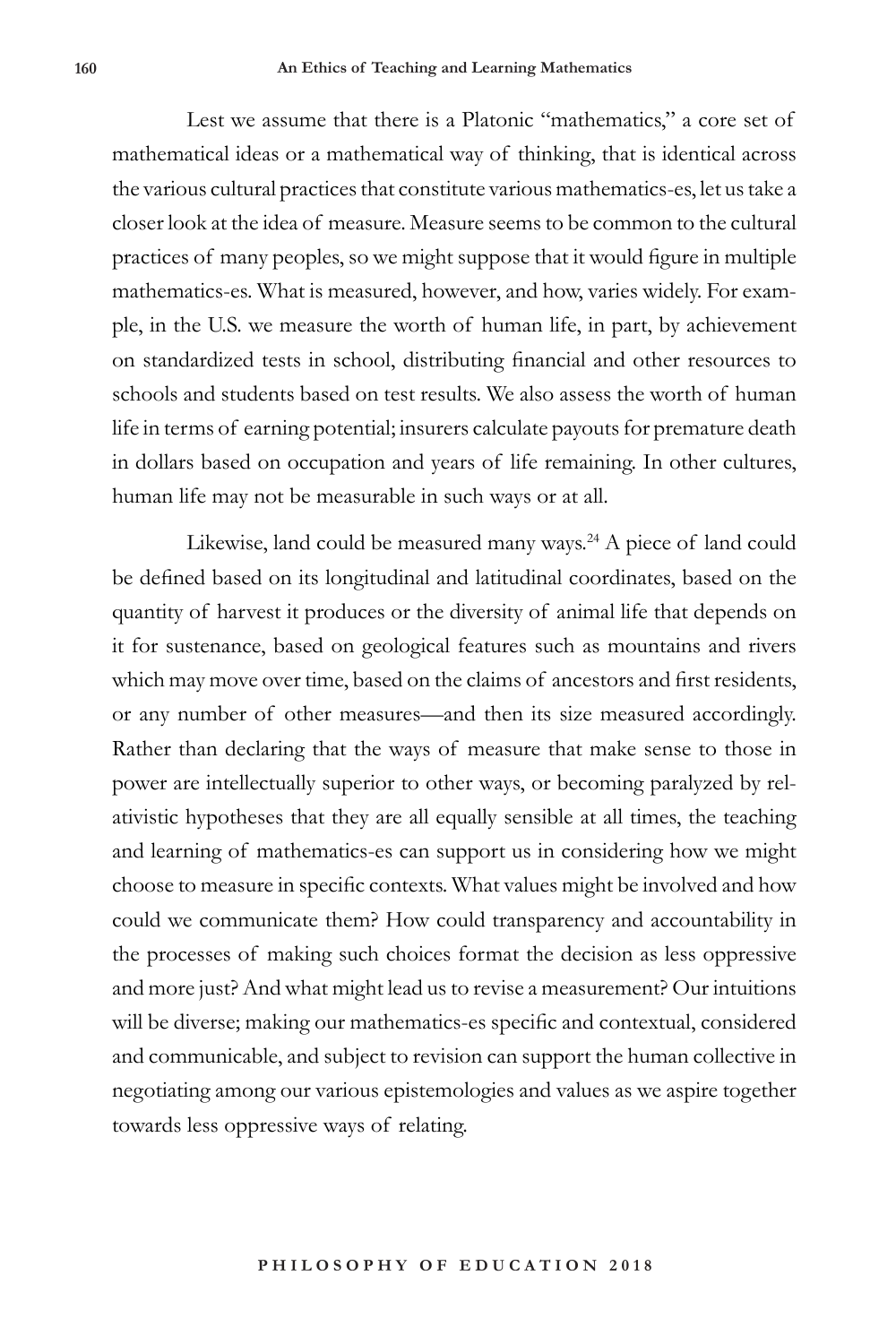Lest we assume that there is a Platonic "mathematics," a core set of mathematical ideas or a mathematical way of thinking, that is identical across the various cultural practices that constitute various mathematics-es, let us take a closer look at the idea of measure. Measure seems to be common to the cultural practices of many peoples, so we might suppose that it would figure in multiple mathematics-es. What is measured, however, and how, varies widely. For example, in the U.S. we measure the worth of human life, in part, by achievement on standardized tests in school, distributing financial and other resources to schools and students based on test results. We also assess the worth of human life in terms of earning potential; insurers calculate payouts for premature death in dollars based on occupation and years of life remaining. In other cultures, human life may not be measurable in such ways or at all.

Likewise, land could be measured many ways.<sup>24</sup> A piece of land could be defined based on its longitudinal and latitudinal coordinates, based on the quantity of harvest it produces or the diversity of animal life that depends on it for sustenance, based on geological features such as mountains and rivers which may move over time, based on the claims of ancestors and first residents, or any number of other measures—and then its size measured accordingly. Rather than declaring that the ways of measure that make sense to those in power are intellectually superior to other ways, or becoming paralyzed by relativistic hypotheses that they are all equally sensible at all times, the teaching and learning of mathematics-es can support us in considering how we might choose to measure in specific contexts. What values might be involved and how could we communicate them? How could transparency and accountability in the processes of making such choices format the decision as less oppressive and more just? And what might lead us to revise a measurement? Our intuitions will be diverse; making our mathematics-es specific and contextual, considered and communicable, and subject to revision can support the human collective in negotiating among our various epistemologies and values as we aspire together towards less oppressive ways of relating.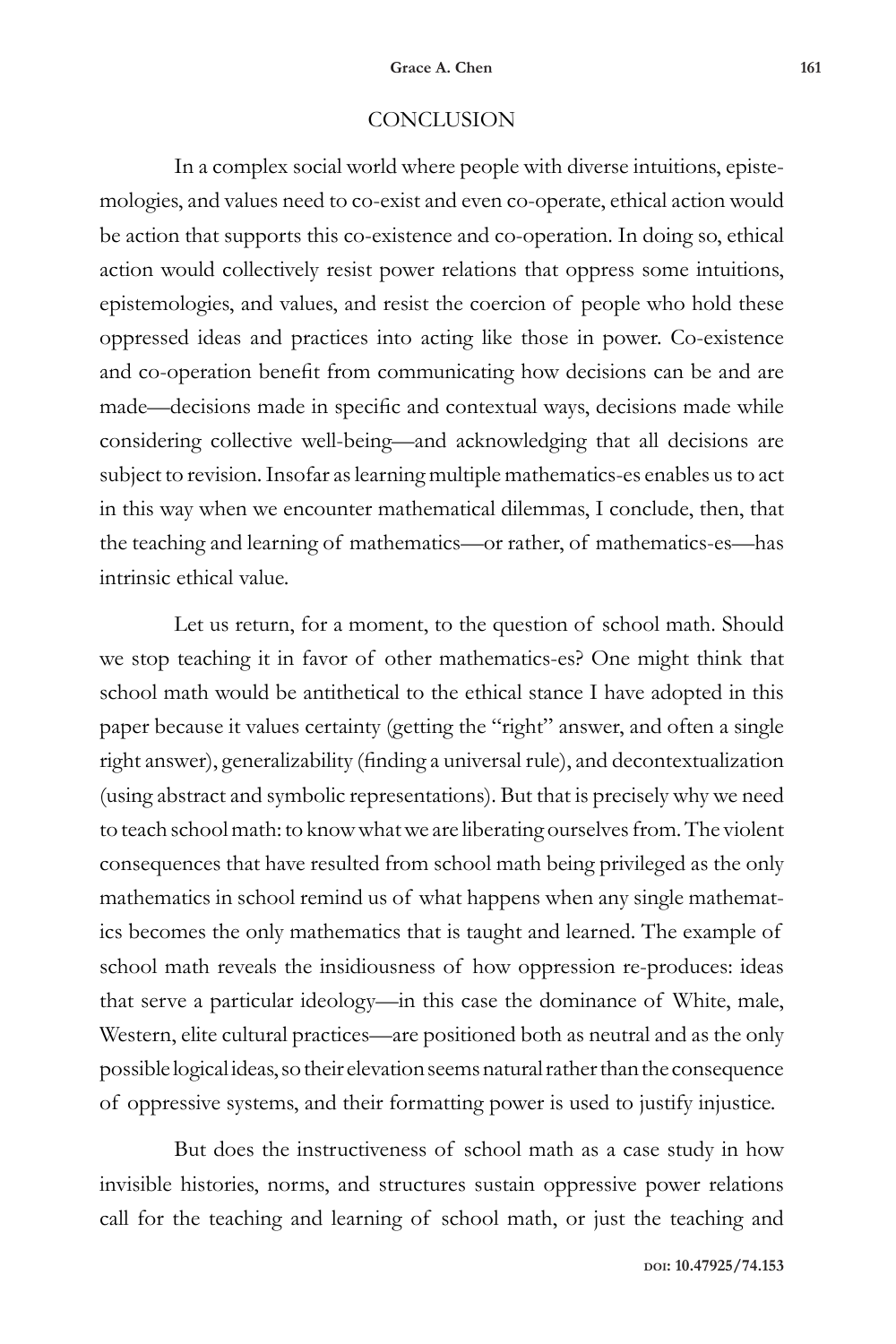#### **CONCLUSION**

In a complex social world where people with diverse intuitions, epistemologies, and values need to co-exist and even co-operate, ethical action would be action that supports this co-existence and co-operation. In doing so, ethical action would collectively resist power relations that oppress some intuitions, epistemologies, and values, and resist the coercion of people who hold these oppressed ideas and practices into acting like those in power. Co-existence and co-operation benefit from communicating how decisions can be and are made—decisions made in specific and contextual ways, decisions made while considering collective well-being—and acknowledging that all decisions are subject to revision. Insofar as learning multiple mathematics-es enables us to act in this way when we encounter mathematical dilemmas, I conclude, then, that the teaching and learning of mathematics—or rather, of mathematics-es—has intrinsic ethical value.

Let us return, for a moment, to the question of school math. Should we stop teaching it in favor of other mathematics-es? One might think that school math would be antithetical to the ethical stance I have adopted in this paper because it values certainty (getting the "right" answer, and often a single right answer), generalizability (finding a universal rule), and decontextualization (using abstract and symbolic representations). But that is precisely why we need to teach school math: to know what we are liberating ourselves from. The violent consequences that have resulted from school math being privileged as the only mathematics in school remind us of what happens when any single mathematics becomes the only mathematics that is taught and learned. The example of school math reveals the insidiousness of how oppression re-produces: ideas that serve a particular ideology—in this case the dominance of White, male, Western, elite cultural practices—are positioned both as neutral and as the only possible logical ideas, so their elevation seems natural rather than the consequence of oppressive systems, and their formatting power is used to justify injustice.

But does the instructiveness of school math as a case study in how invisible histories, norms, and structures sustain oppressive power relations call for the teaching and learning of school math, or just the teaching and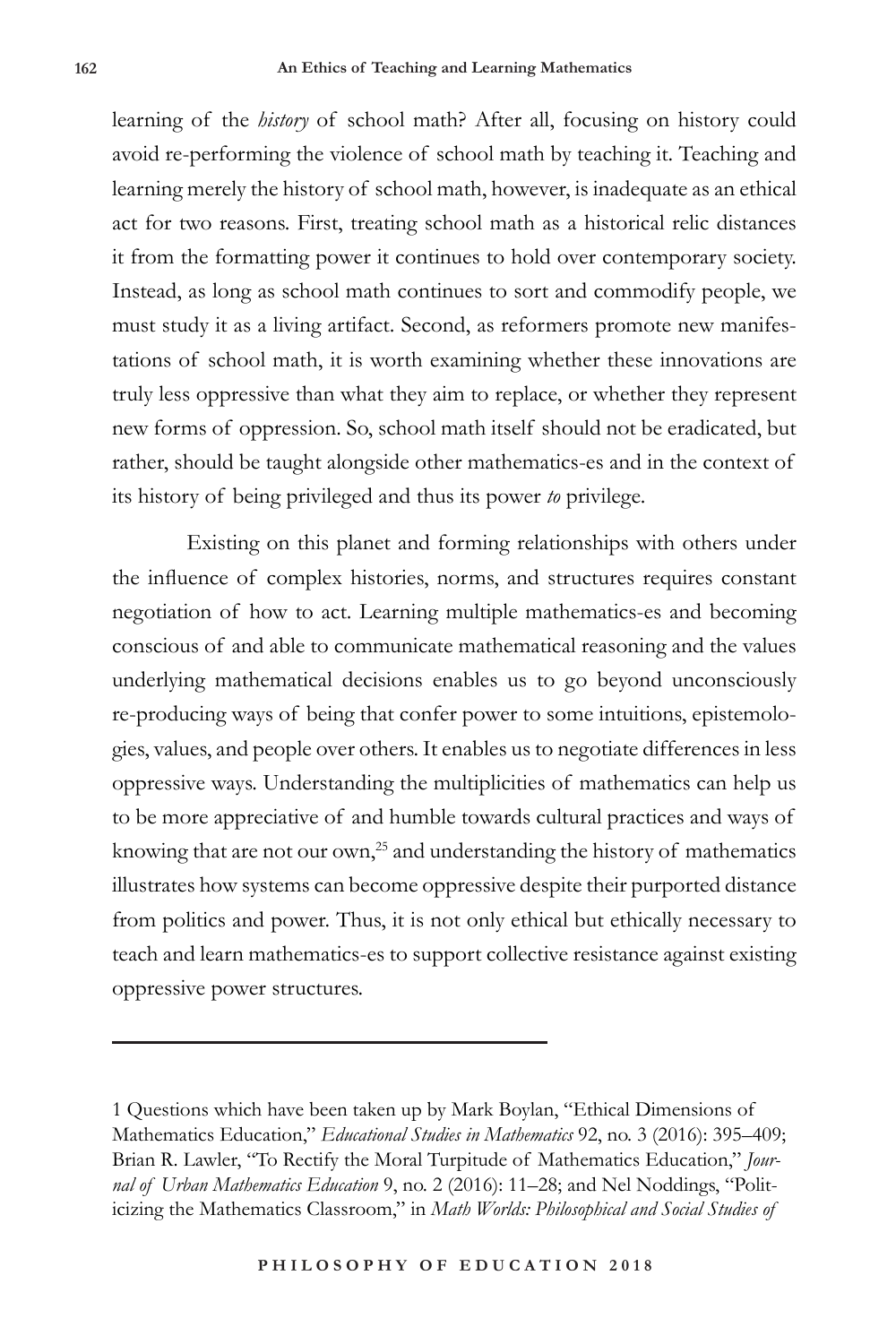learning of the *history* of school math? After all, focusing on history could avoid re-performing the violence of school math by teaching it. Teaching and learning merely the history of school math, however, is inadequate as an ethical act for two reasons. First, treating school math as a historical relic distances it from the formatting power it continues to hold over contemporary society. Instead, as long as school math continues to sort and commodify people, we must study it as a living artifact. Second, as reformers promote new manifestations of school math, it is worth examining whether these innovations are truly less oppressive than what they aim to replace, or whether they represent new forms of oppression. So, school math itself should not be eradicated, but rather, should be taught alongside other mathematics-es and in the context of its history of being privileged and thus its power *to* privilege.

Existing on this planet and forming relationships with others under the influence of complex histories, norms, and structures requires constant negotiation of how to act. Learning multiple mathematics-es and becoming conscious of and able to communicate mathematical reasoning and the values underlying mathematical decisions enables us to go beyond unconsciously re-producing ways of being that confer power to some intuitions, epistemologies, values, and people over others. It enables us to negotiate differences in less oppressive ways. Understanding the multiplicities of mathematics can help us to be more appreciative of and humble towards cultural practices and ways of knowing that are not our own,<sup>25</sup> and understanding the history of mathematics illustrates how systems can become oppressive despite their purported distance from politics and power. Thus, it is not only ethical but ethically necessary to teach and learn mathematics-es to support collective resistance against existing oppressive power structures.

<sup>1</sup> Questions which have been taken up by Mark Boylan, "Ethical Dimensions of Mathematics Education," *Educational Studies in Mathematics* 92, no. 3 (2016): 395–409; Brian R. Lawler, "To Rectify the Moral Turpitude of Mathematics Education," *Journal of Urban Mathematics Education* 9, no. 2 (2016): 11–28; and Nel Noddings, "Politicizing the Mathematics Classroom," in *Math Worlds: Philosophical and Social Studies of*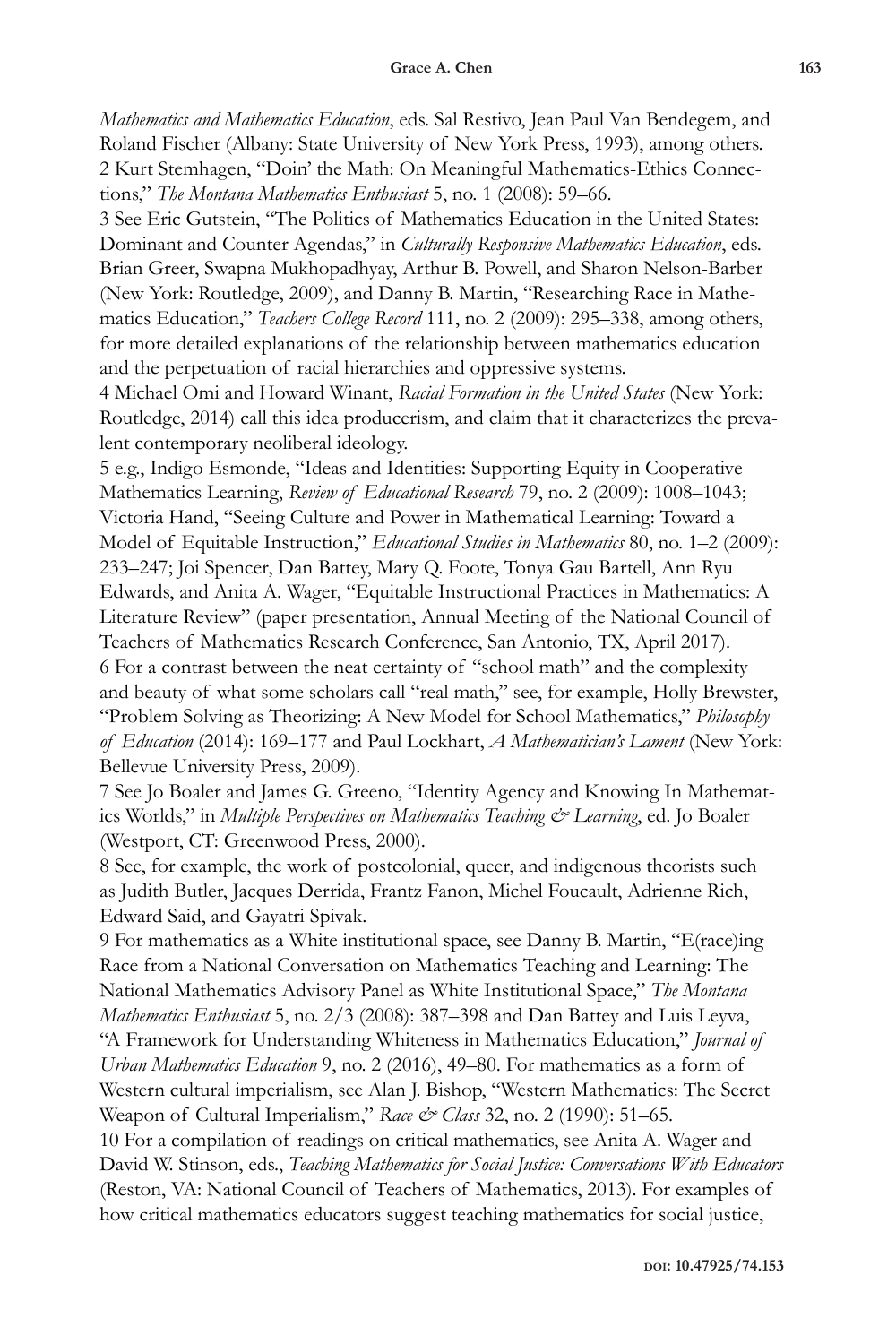*Mathematics and Mathematics Education*, eds. Sal Restivo, Jean Paul Van Bendegem, and Roland Fischer (Albany: State University of New York Press, 1993), among others. 2 Kurt Stemhagen, "Doin' the Math: On Meaningful Mathematics-Ethics Connections," *The Montana Mathematics Enthusiast* 5, no. 1 (2008): 59–66.

3 See Eric Gutstein, "The Politics of Mathematics Education in the United States: Dominant and Counter Agendas," in *Culturally Responsive Mathematics Education*, eds. Brian Greer, Swapna Mukhopadhyay, Arthur B. Powell, and Sharon Nelson-Barber (New York: Routledge, 2009), and Danny B. Martin, "Researching Race in Mathematics Education," *Teachers College Record* 111, no. 2 (2009): 295–338, among others, for more detailed explanations of the relationship between mathematics education and the perpetuation of racial hierarchies and oppressive systems.

4 Michael Omi and Howard Winant, *Racial Formation in the United States* (New York: Routledge, 2014) call this idea producerism, and claim that it characterizes the prevalent contemporary neoliberal ideology.

5 e.g., Indigo Esmonde, "Ideas and Identities: Supporting Equity in Cooperative Mathematics Learning, *Review of Educational Research* 79, no. 2 (2009): 1008–1043; Victoria Hand, "Seeing Culture and Power in Mathematical Learning: Toward a Model of Equitable Instruction," *Educational Studies in Mathematics* 80, no. 1–2 (2009): 233–247; Joi Spencer, Dan Battey, Mary Q. Foote, Tonya Gau Bartell, Ann Ryu Edwards, and Anita A. Wager, "Equitable Instructional Practices in Mathematics: A Literature Review" (paper presentation, Annual Meeting of the National Council of Teachers of Mathematics Research Conference, San Antonio, TX, April 2017). 6 For a contrast between the neat certainty of "school math" and the complexity and beauty of what some scholars call "real math," see, for example, Holly Brewster, "Problem Solving as Theorizing: A New Model for School Mathematics," *Philosophy of Education* (2014): 169–177 and Paul Lockhart, *A Mathematician's Lament* (New York: Bellevue University Press, 2009).

7 See Jo Boaler and James G. Greeno, "Identity Agency and Knowing In Mathematics Worlds," in *Multiple Perspectives on Mathematics Teaching & Learning*, ed. Jo Boaler (Westport, CT: Greenwood Press, 2000).

8 See, for example, the work of postcolonial, queer, and indigenous theorists such as Judith Butler, Jacques Derrida, Frantz Fanon, Michel Foucault, Adrienne Rich, Edward Said, and Gayatri Spivak.

9 For mathematics as a White institutional space, see Danny B. Martin, "E(race)ing Race from a National Conversation on Mathematics Teaching and Learning: The National Mathematics Advisory Panel as White Institutional Space," *The Montana Mathematics Enthusiast* 5, no. 2/3 (2008): 387–398 and Dan Battey and Luis Leyva, "A Framework for Understanding Whiteness in Mathematics Education," *Journal of Urban Mathematics Education* 9, no. 2 (2016), 49–80. For mathematics as a form of Western cultural imperialism, see Alan J. Bishop, "Western Mathematics: The Secret Weapon of Cultural Imperialism," *Race & Class* 32, no. 2 (1990): 51–65.

10 For a compilation of readings on critical mathematics, see Anita A. Wager and David W. Stinson, eds., *Teaching Mathematics for Social Justice: Conversations With Educators*  (Reston, VA: National Council of Teachers of Mathematics, 2013). For examples of how critical mathematics educators suggest teaching mathematics for social justice,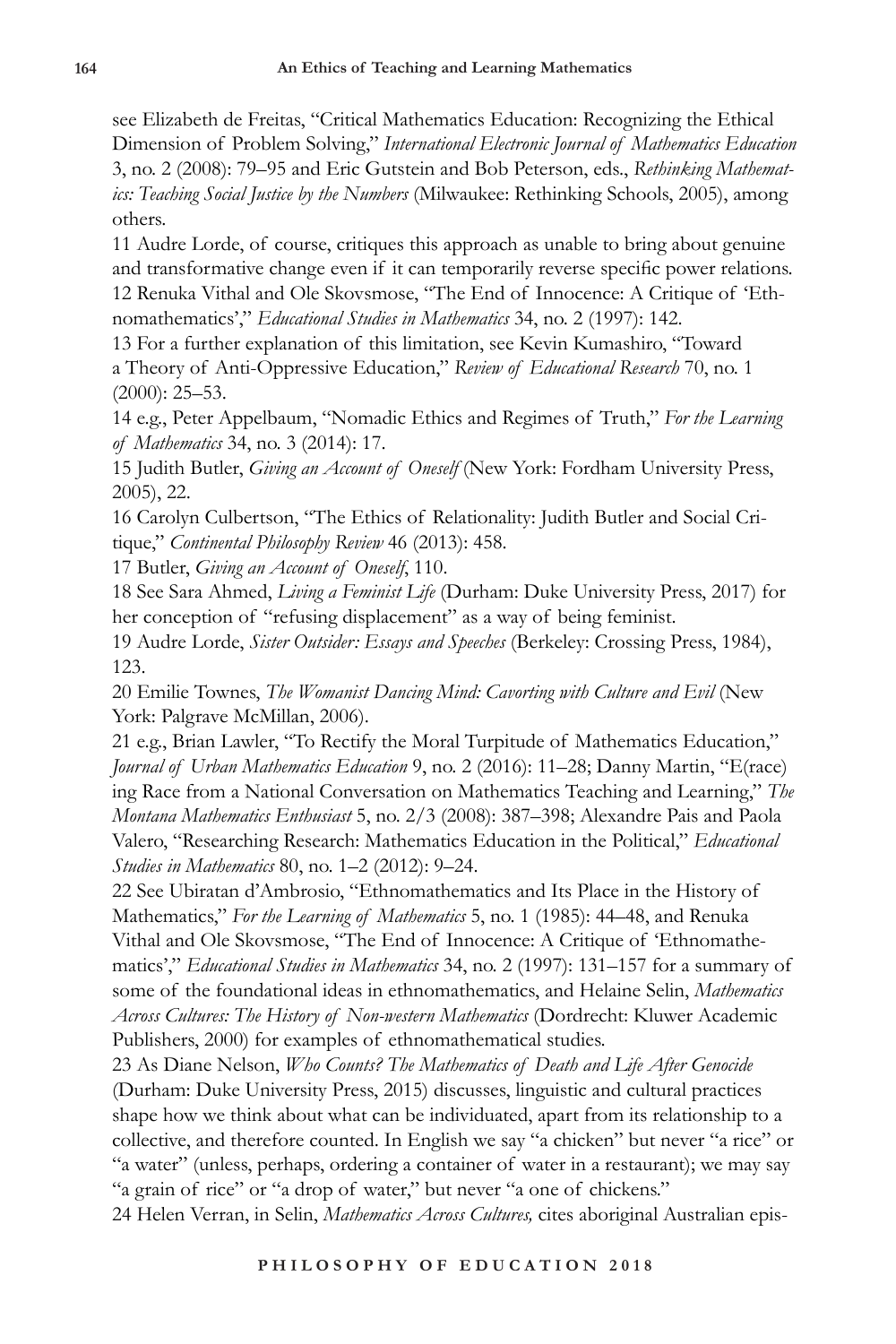see Elizabeth de Freitas, "Critical Mathematics Education: Recognizing the Ethical Dimension of Problem Solving," *International Electronic Journal of Mathematics Education* 3, no. 2 (2008): 79–95 and Eric Gutstein and Bob Peterson, eds., *Rethinking Mathematics: Teaching Social Justice by the Numbers* (Milwaukee: Rethinking Schools, 2005), among others.

11 Audre Lorde, of course, critiques this approach as unable to bring about genuine and transformative change even if it can temporarily reverse specific power relations. 12 Renuka Vithal and Ole Skovsmose, "The End of Innocence: A Critique of 'Ethnomathematics'," *Educational Studies in Mathematics* 34, no. 2 (1997): 142.

13 For a further explanation of this limitation, see Kevin Kumashiro, "Toward a Theory of Anti-Oppressive Education," *Review of Educational Research* 70, no. 1 (2000): 25–53.

14 e.g., Peter Appelbaum, "Nomadic Ethics and Regimes of Truth," *For the Learning of Mathematics* 34, no. 3 (2014): 17.

15 Judith Butler, *Giving an Account of Oneself* (New York: Fordham University Press, 2005), 22.

16 Carolyn Culbertson, "The Ethics of Relationality: Judith Butler and Social Critique," *Continental Philosophy Review* 46 (2013): 458.

17 Butler, *Giving an Account of Oneself*, 110.

18 See Sara Ahmed, *Living a Feminist Life* (Durham: Duke University Press, 2017) for her conception of "refusing displacement" as a way of being feminist.

19 Audre Lorde, *Sister Outsider: Essays and Speeches* (Berkeley: Crossing Press, 1984), 123.

20 Emilie Townes, *The Womanist Dancing Mind: Cavorting with Culture and Evil* (New York: Palgrave McMillan, 2006).

21 e.g., Brian Lawler, "To Rectify the Moral Turpitude of Mathematics Education," *Journal of Urban Mathematics Education* 9, no. 2 (2016): 11–28; Danny Martin, "E(race) ing Race from a National Conversation on Mathematics Teaching and Learning," *The Montana Mathematics Enthusiast* 5, no. 2/3 (2008): 387–398; Alexandre Pais and Paola Valero, "Researching Research: Mathematics Education in the Political," *Educational Studies in Mathematics* 80, no. 1–2 (2012): 9–24.

22 See Ubiratan d'Ambrosio, "Ethnomathematics and Its Place in the History of Mathematics," *For the Learning of Mathematics* 5, no. 1 (1985): 44–48, and Renuka Vithal and Ole Skovsmose, "The End of Innocence: A Critique of 'Ethnomathematics'," *Educational Studies in Mathematics* 34, no. 2 (1997): 131–157 for a summary of some of the foundational ideas in ethnomathematics, and Helaine Selin, *Mathematics Across Cultures: The History of Non-western Mathematics* (Dordrecht: Kluwer Academic Publishers, 2000) for examples of ethnomathematical studies.

23 As Diane Nelson, *Who Counts? The Mathematics of Death and Life After Genocide* (Durham: Duke University Press, 2015) discusses, linguistic and cultural practices shape how we think about what can be individuated, apart from its relationship to a collective, and therefore counted. In English we say "a chicken" but never "a rice" or "a water" (unless, perhaps, ordering a container of water in a restaurant); we may say "a grain of rice" or "a drop of water," but never "a one of chickens."

24 Helen Verran, in Selin, *Mathematics Across Cultures,* cites aboriginal Australian epis-